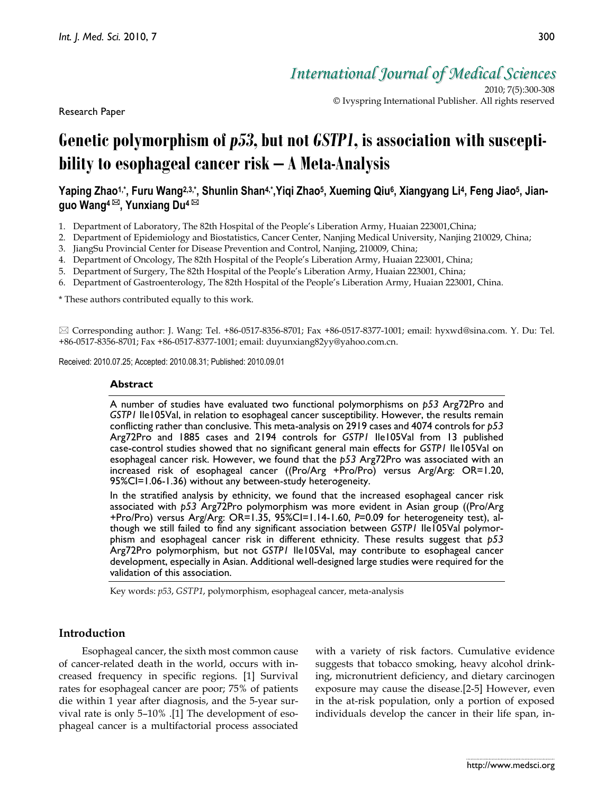Research Paper

2010; 7(5):300-308 © Ivyspring International Publisher. All rights reserved

# **Genetic polymorphism of** *p53***, but not** *GSTP1***, is association with susceptibility to esophageal cancer risk – A Meta-Analysis**

## Yaping Zhao1,\*, Furu Wang<sup>2,3,∗</sup>, Shunlin Shan<sup>4,∗</sup>,Yiqi Zhao<sup>5</sup>, Xueming Qiu6, Xiangyang Li<sup>4</sup>, Feng Jiao<sup>5</sup>, Jian**guo Wang<sup>4</sup> , Yunxiang Du<sup>4</sup>**

- 1. Department of Laboratory, The 82th Hospital of the People's Liberation Army, Huaian 223001,China;
- 2. Department of Epidemiology and Biostatistics, Cancer Center, Nanjing Medical University, Nanjing 210029, China;
- 3. JiangSu Provincial Center for Disease Prevention and Control, Nanjing, 210009, China;
- 4. Department of Oncology, The 82th Hospital of the People's Liberation Army, Huaian 223001, China;
- 5. Department of Surgery, The 82th Hospital of the People's Liberation Army, Huaian 223001, China;
- 6. Department of Gastroenterology, The 82th Hospital of the People's Liberation Army, Huaian 223001, China.

\* These authors contributed equally to this work.

 $\boxtimes$  Corresponding author: J. Wang: Tel. +86-0517-8356-8701; Fax +86-0517-8377-1001; email: hyxwd@sina.com. Y. Du: Tel. +86-0517-8356-8701; Fax +86-0517-8377-1001; email: [duyunxiang82yy@yahoo.com.cn.](mailto:duyunxiang82yy@yahoo.com.cn)

Received: 2010.07.25; Accepted: 2010.08.31; Published: 2010.09.01

#### **Abstract**

A number of studies have evaluated two functional polymorphisms on *p53* Arg72Pro and *GSTP1* Ile105Val, in relation to esophageal cancer susceptibility. However, the results remain conflicting rather than conclusive. This meta-analysis on 2919 cases and 4074 controls for *p53* Arg72Pro and 1885 cases and 2194 controls for *GSTP1* Ile105Val from 13 published case-control studies showed that no significant general main effects for *GSTP1* Ile105Val on esophageal cancer risk. However, we found that the *p53* Arg72Pro was associated with an increased risk of esophageal cancer ((Pro/Arg +Pro/Pro) versus Arg/Arg: OR=1.20, 95%CI=1.06-1.36) without any between-study heterogeneity.

In the stratified analysis by ethnicity, we found that the increased esophageal cancer risk associated with *p53* Arg72Pro polymorphism was more evident in Asian group ((Pro/Arg +Pro/Pro) versus Arg/Arg: OR=1.35, 95%CI=1.14-1.60, *P*=0.09 for heterogeneity test), although we still failed to find any significant association between *GSTP1* Ile105Val polymorphism and esophageal cancer risk in different ethnicity. These results suggest that *p53* Arg72Pro polymorphism, but not *GSTP1* Ile105Val, may contribute to esophageal cancer development, especially in Asian. Additional well-designed large studies were required for the validation of this association.

Key words: *p53*, *GSTP1*, polymorphism, esophageal cancer, meta-analysis

## **Introduction**

Esophageal cancer, the sixth most common cause of cancer-related death in the world, occurs with increased frequency in specific regions. [1] Survival rates for esophageal cancer are poor; 75% of patients die within 1 year after diagnosis, and the 5-year survival rate is only 5–10% .[1] The development of esophageal cancer is a multifactorial process associated with a variety of risk factors. Cumulative evidence suggests that tobacco smoking, heavy alcohol drinking, micronutrient deficiency, and dietary carcinogen exposure may cause the disease.[2-5] However, even in the at-risk population, only a portion of exposed individuals develop the cancer in their life span, in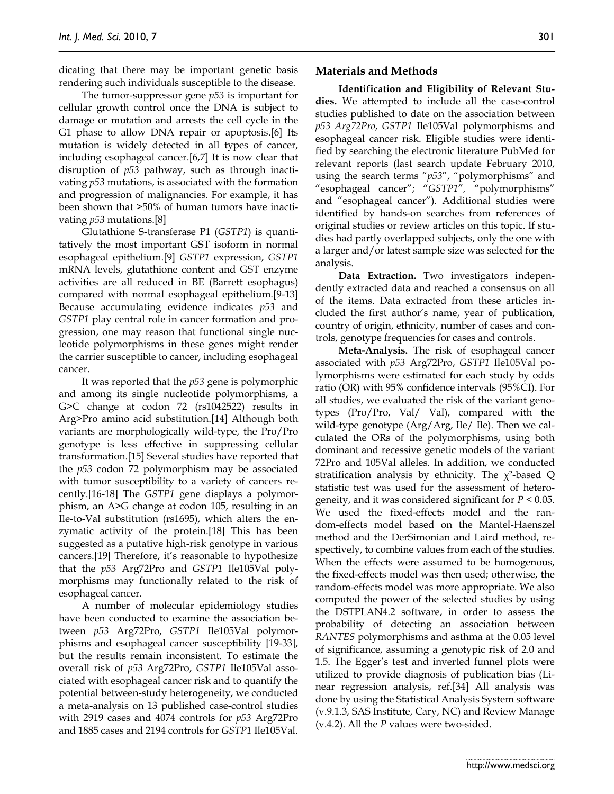dicating that there may be important genetic basis rendering such individuals susceptible to the disease.

The tumor-suppressor gene *p53* is important for cellular growth control once the DNA is subject to damage or mutation and arrests the cell cycle in the G1 phase to allow DNA repair or apoptosis.[6] Its mutation is widely detected in all types of cancer, including esophageal cancer.[6,7] It is now clear that disruption of *p53* pathway, such as through inactivating *p53* mutations, is associated with the formation and progression of malignancies. For example, it has been shown that >50% of human tumors have inactivating *p53* mutations.[8]

Glutathione S-transferase P1 (*GSTP1*) is quantitatively the most important GST isoform in normal esophageal epithelium.[9] *GSTP1* expression, *GSTP1* mRNA levels, glutathione content and GST enzyme activities are all reduced in BE (Barrett esophagus) compared with normal esophageal epithelium.[9-13] Because accumulating evidence indicates *p53* and *GSTP1* play central role in cancer formation and progression, one may reason that functional single nucleotide polymorphisms in these genes might render the carrier susceptible to cancer, including esophageal cancer.

It was reported that the *p53* gene is polymorphic and among its single nucleotide polymorphisms, a G>C change at codon 72 (rs1042522) results in Arg>Pro amino acid substitution.[14] Although both variants are morphologically wild-type, the Pro/Pro genotype is less effective in suppressing cellular transformation.[15] Several studies have reported that the *p53* codon 72 polymorphism may be associated with tumor susceptibility to a variety of cancers recently.[16-18] The *GSTP1* gene displays a polymorphism, an A>G change at codon 105, resulting in an Ile-to-Val substitution (rs1695), which alters the enzymatic activity of the protein.[18] This has been suggested as a putative high-risk genotype in various cancers.[19] Therefore, it's reasonable to hypothesize that the *p53* Arg72Pro and *GSTP1* Ile105Val polymorphisms may functionally related to the risk of esophageal cancer.

A number of molecular epidemiology studies have been conducted to examine the association between *p53* Arg72Pro, *GSTP1* Ile105Val polymorphisms and esophageal cancer susceptibility [19-33], but the results remain inconsistent. To estimate the overall risk of *p53* Arg72Pro, *GSTP1* Ile105Val associated with esophageal cancer risk and to quantify the potential between-study heterogeneity, we conducted a meta-analysis on 13 published case-control studies with 2919 cases and 4074 controls for *p53* Arg72Pro and 1885 cases and 2194 controls for *GSTP1* Ile105Val.

### **Materials and Methods**

**Identification and Eligibility of Relevant Studies.** We attempted to include all the case-control studies published to date on the association between *p53 Arg72Pro*, *GSTP1* Ile105Val polymorphisms and esophageal cancer risk. Eligible studies were identified by searching the electronic literature PubMed for relevant reports (last search update February 2010, using the search terms "*p53*", "polymorphisms" and "esophageal cancer"; "*GSTP1*"*,* "polymorphisms" and "esophageal cancer"). Additional studies were identified by hands-on searches from references of original studies or review articles on this topic. If studies had partly overlapped subjects, only the one with a larger and/or latest sample size was selected for the analysis.

**Data Extraction.** Two investigators independently extracted data and reached a consensus on all of the items. Data extracted from these articles included the first author's name, year of publication, country of origin, ethnicity, number of cases and controls, genotype frequencies for cases and controls.

**Meta-Analysis.** The risk of esophageal cancer associated with *p53* Arg72Pro, *GSTP1* Ile105Val polymorphisms were estimated for each study by odds ratio (OR) with 95% confidence intervals (95%CI). For all studies, we evaluated the risk of the variant genotypes (Pro/Pro, Val/ Val), compared with the wild-type genotype (Arg/Arg, Ile/ Ile). Then we calculated the ORs of the polymorphisms, using both dominant and recessive genetic models of the variant 72Pro and 105Val alleles. In addition, we conducted stratification analysis by ethnicity. The  $\chi^2$ -based Q statistic test was used for the assessment of heterogeneity, and it was considered significant for *P* < 0.05. We used the fixed-effects model and the random-effects model based on the Mantel-Haenszel method and the DerSimonian and Laird method, respectively, to combine values from each of the studies. When the effects were assumed to be homogenous, the fixed-effects model was then used; otherwise, the random-effects model was more appropriate. We also computed the power of the selected studies by using the DSTPLAN4.2 software, in order to assess the probability of detecting an association between *RANTES* polymorphisms and asthma at the 0.05 level of significance, assuming a genotypic risk of 2.0 and 1.5. The Egger's test and inverted funnel plots were utilized to provide diagnosis of publication bias (Linear regression analysis, ref.[34] All analysis was done by using the Statistical Analysis System software (v.9.1.3, SAS Institute, Cary, NC) and Review Manage (v.4.2). All the *P* values were two-sided.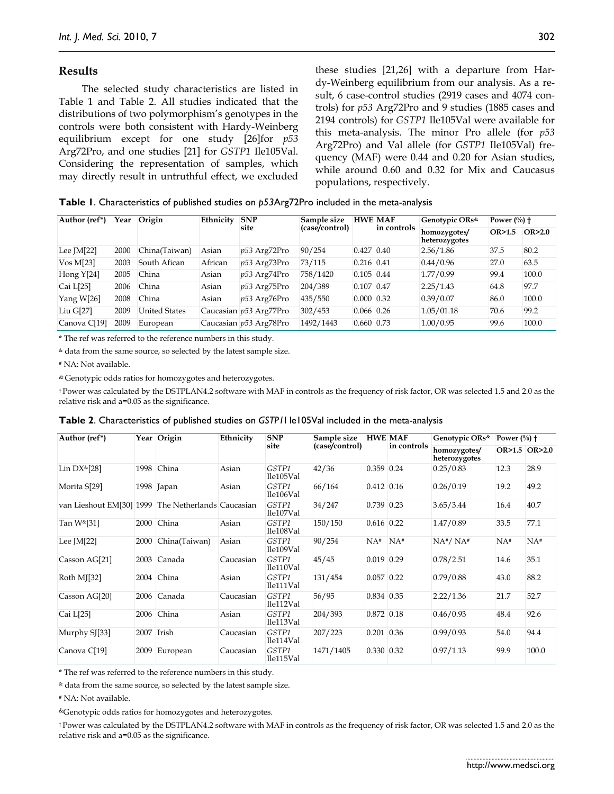### **Results**

The selected study characteristics are listed in Table 1 and Table 2. All studies indicated that the distributions of two polymorphism's genotypes in the controls were both consistent with Hardy-Weinberg equilibrium except for one study [26]for *p53* Arg72Pro, and one studies [21] for *GSTP1* Ile105Val. Considering the representation of samples, which may directly result in untruthful effect, we excluded these studies [21,26] with a departure from Hardy-Weinberg equilibrium from our analysis. As a result, 6 case-control studies (2919 cases and 4074 controls) for *p53* Arg72Pro and 9 studies (1885 cases and 2194 controls) for *GSTP1* Ile105Val were available for this meta-analysis. The minor Pro allele (for *p53* Arg72Pro) and Val allele (for *GSTP1* Ile105Val) frequency (MAF) were 0.44 and 0.20 for Asian studies, while around 0.60 and 0.32 for Mix and Caucasus populations, respectively.

**Table 1**. Characteristics of published studies on *p53*Arg72Pro included in the meta-analysis

| Author (ref*) | Year | Origin        | Ethnicity | <b>SNP</b><br>site     | Sample size<br>(case/control) | <b>HWE MAF</b>       | in controls | Genotypic ORs <sup>&amp;</sup><br>Power $(\%)$ + |        |          |
|---------------|------|---------------|-----------|------------------------|-------------------------------|----------------------|-------------|--------------------------------------------------|--------|----------|
|               |      |               |           |                        |                               |                      |             | homozygotes/<br>heterozygotes                    | OR>1.5 | OR > 2.0 |
| Lee $[M[22]$  | 2000 | China(Taiwan) | Asian     | p53 Arg72Pro           | 90/254                        | $0.427$ 0.40         |             | 2.56/1.86                                        | 37.5   | 80.2     |
| $V$ os M[23]  | 2003 | South Afican  | African   | p53 Arg73Pro           | 73/115                        | $0.216$ 0.41         |             | 0.44/0.96                                        | 27.0   | 63.5     |
| Hong $Y[24]$  | 2005 | China         | Asian     | $p53$ Arg74Pro         | 758/1420                      | $0.105$ 0.44         |             | 1.77/0.99                                        | 99.4   | 100.0    |
| Cai L[25]     | 2006 | China         | Asian     | p53 Arg75Pro           | 204/389                       | $0.107$ 0.47         |             | 2.25/1.43                                        | 64.8   | 97.7     |
| Yang $W[26]$  | 2008 | China         | Asian     | p53 Arg76Pro           | 435/550                       | $0.000 \,   \, 0.32$ |             | 0.39/0.07                                        | 86.0   | 100.0    |
| $Liu$ G[27]   | 2009 | United States |           | Caucasian p53 Arg77Pro | 302/453                       | $0.066$ 0.26         |             | 1.05/01.18                                       | 70.6   | 99.2     |
| Canova C[19]  | 2009 | European      |           | Caucasian p53 Arg78Pro | 1492/1443                     | $0.660$ 0.73         |             | 1.00/0.95                                        | 99.6   | 100.0    |

\* The ref was referred to the reference numbers in this study.

& data from the same source, so selected by the latest sample size.

# NA: Not available.

& Genotypic odds ratios for homozygotes and heterozygotes.

† Power was calculated by the DSTPLAN4.2 software with MAF in controls as the frequency of risk factor, OR was selected 1.5 and 2.0 as the relative risk and а=0.05 as the significance.

| <b>Table 2.</b> Characteristics of published studies on GSTP11 le105Val included in the meta-analysis |
|-------------------------------------------------------------------------------------------------------|
|-------------------------------------------------------------------------------------------------------|

| Author (ref*)                                      |      | Year Origin   | Ethnicity | <b>SNP</b><br>site | Sample size<br>(case/control) |              | <b>HWE MAF</b><br>in controls | Genotypic ORs <sup>&amp;</sup> | Power $(\%)$ †    |               |
|----------------------------------------------------|------|---------------|-----------|--------------------|-------------------------------|--------------|-------------------------------|--------------------------------|-------------------|---------------|
|                                                    |      |               |           |                    |                               |              |                               | homozygotes/<br>heterozygotes  |                   | OR>1.5 OR>2.0 |
| Lin $DX*[28]$                                      | 1998 | China         | Asian     | GSTP1<br>Ile105Val | 42/36                         | $0.359$ 0.24 |                               | 0.25/0.83                      | 12.3              | 28.9          |
| Morita S[29]                                       |      | 1998 Japan    | Asian     | GSTP1<br>Ile106Val | 66/164                        | $0.412$ 0.16 |                               | 0.26/0.19                      | 19.2              | 49.2          |
| van Lieshout EM[30] 1999 The Netherlands Caucasian |      |               |           | GSTP1<br>Ile107Val | 34/247                        | 0.739 0.23   |                               | 3.65/3.44                      | 16.4              | 40.7          |
| Tan W <sup>&amp;</sup> [31]                        |      | 2000 China    | Asian     | GSTP1<br>Ile108Val | 150/150                       | $0.616$ 0.22 |                               | 1.47/0.89                      | 33.5              | 77.1          |
| Lee $[M[22]$                                       | 2000 | China(Taiwan) | Asian     | GSTP1<br>Ile109Val | 90/254                        | NA#          | NA#                           | NA#/NA#                        | $NA$ <sup>#</sup> | NA#           |
| Casson AG[21]                                      | 2003 | Canada        | Caucasian | GSTP1<br>Ile110Val | 45/45                         | $0.019$ 0.29 |                               | 0.78/2.51                      | 14.6              | 35.1          |
| Roth MJ[32]                                        |      | 2004 China    | Asian     | GSTP1<br>Ile111Val | 131/454                       | $0.057$ 0.22 |                               | 0.79/0.88                      | 43.0              | 88.2          |
| Casson AG[20]                                      |      | 2006 Canada   | Caucasian | GSTP1<br>Ile112Val | 56/95                         | $0.834$ 0.35 |                               | 2.22/1.36                      | 21.7              | 52.7          |
| Cai L[25]                                          | 2006 | China         | Asian     | GSTP1<br>Ile113Val | 204/393                       | $0.872$ 0.18 |                               | 0.46/0.93                      | 48.4              | 92.6          |
| Murphy SJ[33]                                      | 2007 | Irish         | Caucasian | GSTP1<br>Ile114Val | 207/223                       | $0.201$ 0.36 |                               | 0.99/0.93                      | 54.0              | 94.4          |
| Canova C[19]                                       | 2009 | European      | Caucasian | GSTP1<br>Ile115Val | 1471/1405                     | $0.330$ 0.32 |                               | 0.97/1.13                      | 99.9              | 100.0         |

\* The ref was referred to the reference numbers in this study.

& data from the same source, so selected by the latest sample size.

# NA: Not available.

&Genotypic odds ratios for homozygotes and heterozygotes.

† Power was calculated by the DSTPLAN4.2 software with MAF in controls as the frequency of risk factor, OR was selected 1.5 and 2.0 as the relative risk and а=0.05 as the significance.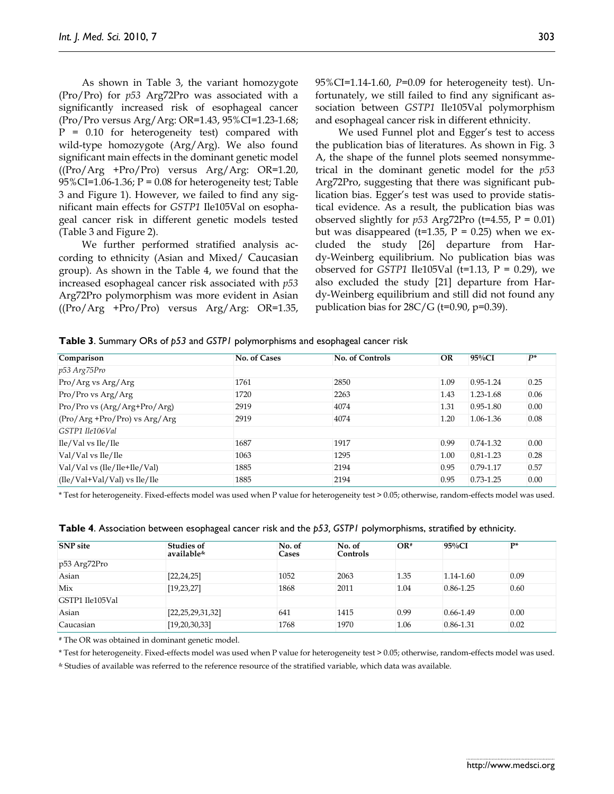As shown in Table 3, the variant homozygote (Pro/Pro) for *p53* Arg72Pro was associated with a significantly increased risk of esophageal cancer (Pro/Pro versus Arg/Arg: OR=1.43, 95%CI=1.23-1.68; P = 0.10 for heterogeneity test) compared with wild-type homozygote (Arg/Arg). We also found significant main effects in the dominant genetic model ((Pro/Arg +Pro/Pro) versus Arg/Arg: OR=1.20, 95%CI=1.06-1.36; P = 0.08 for heterogeneity test; Table 3 and Figure 1). However, we failed to find any significant main effects for *GSTP1* Ile105Val on esophageal cancer risk in different genetic models tested (Table 3 and Figure 2).

We further performed stratified analysis according to ethnicity (Asian and Mixed/ Caucasian group). As shown in the Table 4, we found that the increased esophageal cancer risk associated with *p53* Arg72Pro polymorphism was more evident in Asian ((Pro/Arg +Pro/Pro) versus Arg/Arg: OR=1.35, 95%CI=1.14-1.60, *P*=0.09 for heterogeneity test). Unfortunately, we still failed to find any significant association between *GSTP1* Ile105Val polymorphism and esophageal cancer risk in different ethnicity.

We used Funnel plot and Egger's test to access the publication bias of literatures. As shown in Fig. 3 A, the shape of the funnel plots seemed nonsymmetrical in the dominant genetic model for the *p53* Arg72Pro, suggesting that there was significant publication bias. Egger's test was used to provide statistical evidence. As a result, the publication bias was observed slightly for  $p53$  Arg72Pro (t=4.55, P = 0.01) but was disappeared (t=1.35,  $P = 0.25$ ) when we excluded the study [26] departure from Hardy-Weinberg equilibrium. No publication bias was observed for *GSTP1* Ile105Val ( $t=1.13$ ,  $P = 0.29$ ), we also excluded the study [21] departure from Hardy-Weinberg equilibrium and still did not found any publication bias for  $28C/G$  (t=0.90, p=0.39).

**Table 3**. Summary ORs of *p53* and *GSTP1* polymorphisms and esophageal cancer risk

| Comparison                       | No. of Cases | <b>No. of Controls</b> | OR   | $95\%CI$      | $P^*$ |
|----------------------------------|--------------|------------------------|------|---------------|-------|
| p53 Arg75Pro                     |              |                        |      |               |       |
| Pro/Arg vs Arg/Arg               | 1761         | 2850                   | 1.09 | $0.95 - 1.24$ | 0.25  |
| Pro/Pro vs Arg/Arg               | 1720         | 2263                   | 1.43 | 1.23-1.68     | 0.06  |
| Pro/Pro vs (Arg/Arg+Pro/Arg)     | 2919         | 4074                   | 1.31 | $0.95 - 1.80$ | 0.00  |
| $(Pro/Arg + Pro/Pro)$ vs Arg/Arg | 2919         | 4074                   | 1.20 | 1.06-1.36     | 0.08  |
| GSTP1 Ile106Val                  |              |                        |      |               |       |
| Ile/Val vs Ile/Ile               | 1687         | 1917                   | 0.99 | $0.74 - 1.32$ | 0.00  |
| Val/Val vs Ile/Ile               | 1063         | 1295                   | 1.00 | $0,81-1.23$   | 0.28  |
| Val/Val vs (Ile/Ile+Ile/Val)     | 1885         | 2194                   | 0.95 | 0.79-1.17     | 0.57  |
| $(Ile/Val+Val/Val)$ vs $Ile/Ile$ | 1885         | 2194                   | 0.95 | $0.73 - 1.25$ | 0.00  |

\* Test for heterogeneity. Fixed-effects model was used when P value for heterogeneity test > 0.05; otherwise, random-effects model was used.

| <b>SNP</b> site | <b>Studies of</b><br>available <sup>&amp;</sup> | No. of<br>Cases | No. of<br>Controls | $OR*$ | $95\%CI$      | $\mathbf{p}$ |
|-----------------|-------------------------------------------------|-----------------|--------------------|-------|---------------|--------------|
| p53 Arg72Pro    |                                                 |                 |                    |       |               |              |
| Asian           | [22, 24, 25]                                    | 1052            | 2063               | 1.35  | $1.14 - 1.60$ | 0.09         |
| Mix             | [19, 23, 27]                                    | 1868            | 2011               | 1.04  | $0.86 - 1.25$ | 0.60         |
| GSTP1 Ile105Val |                                                 |                 |                    |       |               |              |
| Asian           | [22,25,29,31,32]                                | 641             | 1415               | 0.99  | 0.66-1.49     | 0.00         |
| Caucasian       | [19,20,30,33]                                   | 1768            | 1970               | 1.06  | 0.86-1.31     | 0.02         |

**Table 4**. Association between esophageal cancer risk and the *p53, GSTP1* polymorphisms, stratified by ethnicity.

# The OR was obtained in dominant genetic model.

\* Test for heterogeneity. Fixed-effects model was used when P value for heterogeneity test > 0.05; otherwise, random-effects model was used.

& Studies of available was referred to the reference resource of the stratified variable, which data was available.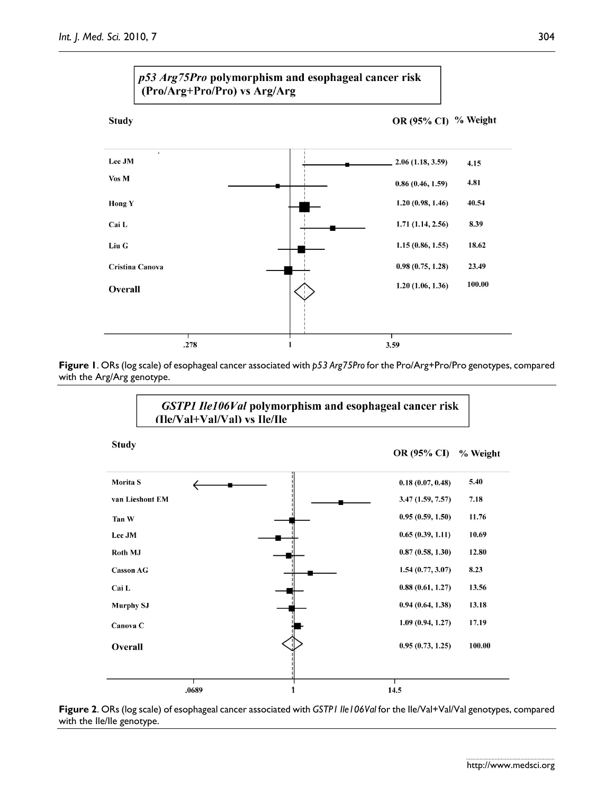





**Figure 2**. ORs (log scale) of esophageal cancer associated with *GSTP1 Ile106Val* for the Ile/Val+Val/Val genotypes, compared with the Ile/Ile genotype.

304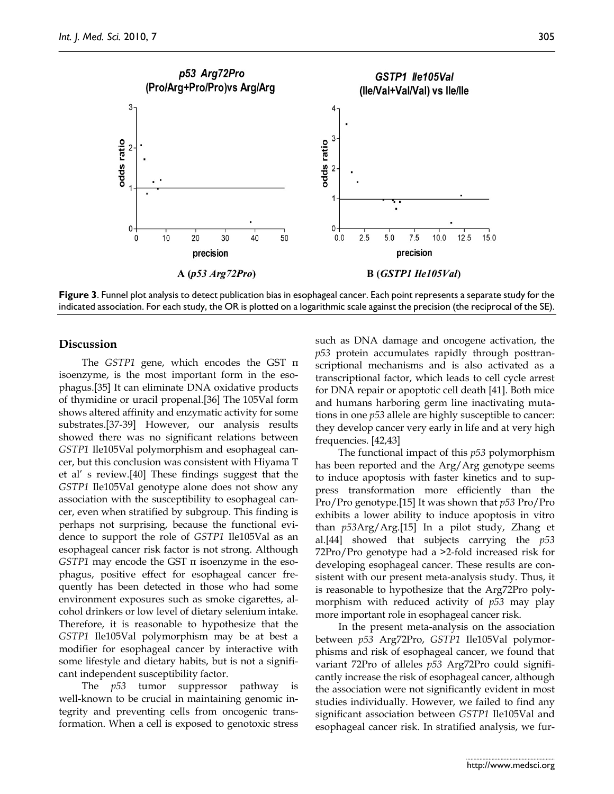

**Figure 3**. Funnel plot analysis to detect publication bias in esophageal cancer. Each point represents a separate study for the indicated association. For each study, the OR is plotted on a logarithmic scale against the precision (the reciprocal of the SE).

#### **Discussion**

The *GSTP1* gene, which encodes the GST π isoenzyme, is the most important form in the esophagus.[35] It can eliminate DNA oxidative products of thymidine or uracil propenal.[36] The 105Val form shows altered affinity and enzymatic activity for some substrates.[37-39] However, our analysis results showed there was no significant relations between *GSTP1* Ile105Val polymorphism and esophageal cancer, but this conclusion was consistent with Hiyama T et al' s review.[40] These findings suggest that the *GSTP1* Ile105Val genotype alone does not show any association with the susceptibility to esophageal cancer, even when stratified by subgroup. This finding is perhaps not surprising, because the functional evidence to support the role of *GSTP1* Ile105Val as an esophageal cancer risk factor is not strong. Although *GSTP1* may encode the GST π isoenzyme in the esophagus, positive effect for esophageal cancer frequently has been detected in those who had some environment exposures such as smoke cigarettes, alcohol drinkers or low level of dietary selenium intake. Therefore, it is reasonable to hypothesize that the *GSTP1* Ile105Val polymorphism may be at best a modifier for esophageal cancer by interactive with some lifestyle and dietary habits, but is not a significant independent susceptibility factor.

The *p53* tumor suppressor pathway is well-known to be crucial in maintaining genomic integrity and preventing cells from oncogenic transformation. When a cell is exposed to genotoxic stress such as DNA damage and oncogene activation, the *p53* protein accumulates rapidly through posttranscriptional mechanisms and is also activated as a transcriptional factor, which leads to cell cycle arrest for DNA repair or apoptotic cell death [41]. Both mice and humans harboring germ line inactivating mutations in one *p53* allele are highly susceptible to cancer: they develop cancer very early in life and at very high frequencies. [42,43]

The functional impact of this *p53* polymorphism has been reported and the Arg/Arg genotype seems to induce apoptosis with faster kinetics and to suppress transformation more efficiently than the Pro/Pro genotype.[15] It was shown that *p53* Pro/Pro exhibits a lower ability to induce apoptosis in vitro than *p53*Arg/Arg.[15] In a pilot study, Zhang et al.[44] showed that subjects carrying the *p53* 72Pro/Pro genotype had a >2-fold increased risk for developing esophageal cancer. These results are consistent with our present meta-analysis study. Thus, it is reasonable to hypothesize that the Arg72Pro polymorphism with reduced activity of *p53* may play more important role in esophageal cancer risk.

In the present meta-analysis on the association between *p53* Arg72Pro, *GSTP1* Ile105Val polymorphisms and risk of esophageal cancer, we found that variant 72Pro of alleles *p53* Arg72Pro could significantly increase the risk of esophageal cancer, although the association were not significantly evident in most studies individually. However, we failed to find any significant association between *GSTP1* Ile105Val and esophageal cancer risk. In stratified analysis, we fur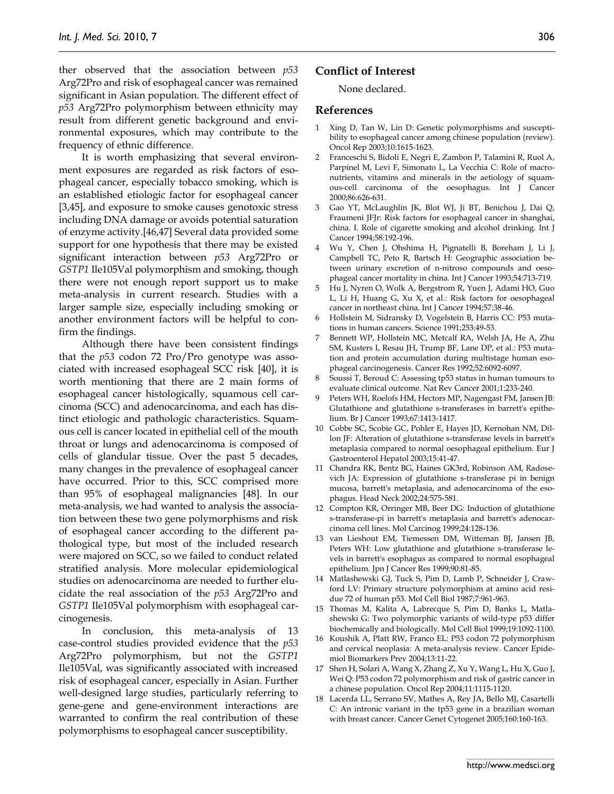ther observed that the association between *p53* Arg72Pro and risk of esophageal cancer was remained significant in Asian population. The different effect of *p53* Arg72Pro polymorphism between ethnicity may result from different genetic background and environmental exposures, which may contribute to the frequency of ethnic difference.

It is worth emphasizing that several environment exposures are regarded as risk factors of esophageal cancer, especially tobacco smoking, which is an established etiologic factor for esophageal cancer [3,45], and exposure to smoke causes genotoxic stress including DNA damage or avoids potential saturation of enzyme activity.[46,47] Several data provided some support for one hypothesis that there may be existed significant interaction between *p53* Arg72Pro or *GSTP1* Ile105Val polymorphism and smoking, though there were not enough report support us to make meta-analysis in current research. Studies with a larger sample size, especially including smoking or another environment factors will be helpful to confirm the findings.

Although there have been consistent findings that the *p53* codon 72 Pro/Pro genotype was associated with increased esophageal SCC risk [40], it is worth mentioning that there are 2 main forms of esophageal cancer histologically, squamous cell carcinoma (SCC) and adenocarcinoma, and each has distinct etiologic and pathologic characteristics. Squamous cell i[s cancer](http://www.health2009.com/Diseases-Conditions/164653.html) located in epithelial cell of the mouth throat or lungs and adenocarcinoma is composed of cells of glandular tissue. Over the past 5 decades, many changes in the prevalence of esophageal cancer have occurred. Prior to this, SCC comprised more than 95% of esophageal malignancies [48]. In our meta-analysis, we had wanted to analysis the association between these two gene polymorphisms and risk of esophageal cancer according to the different pathological type, but most of the included research were majored on SCC, so we failed to conduct related stratified analysis. More molecular epidemiological studies on adenocarcinoma are needed to further elucidate the real association of the *p53* Arg72Pro and *GSTP1* Ile105Val polymorphism with esophageal carcinogenesis.

In conclusion, this meta-analysis of 13 case-control studies provided evidence that the *p53* Arg72Pro polymorphism, but not the *GSTP1* Ile105Val, was significantly associated with increased risk of esophageal cancer, especially in Asian. Further well-designed large studies, particularly referring to gene-gene and gene-environment interactions are warranted to confirm the real contribution of these polymorphisms to esophageal cancer susceptibility.

# **Conflict of Interest**

#### None declared.

#### **References**

- 1 Xing D, Tan W, Lin D: Genetic polymorphisms and susceptibility to esophageal cancer among chinese population (review). Oncol Rep 2003;10:1615-1623.
- 2 Franceschi S, Bidoli E, Negri E, Zambon P, Talamini R, Ruol A, Parpinel M, Levi F, Simonato L, La Vecchia C: Role of macronutrients, vitamins and minerals in the aetiology of squamous-cell carcinoma of the oesophagus. Int J Cancer 2000;86:626-631.
- 3 Gao YT, McLaughlin JK, Blot WJ, Ji BT, Benichou J, Dai Q, Fraumeni JFJr: Risk factors for esophageal cancer in shanghai, china. I. Role of cigarette smoking and alcohol drinking. Int J Cancer 1994;58:192-196.
- 4 Wu Y, Chen J, Ohshima H, Pignatelli B, Boreham J, Li J, Campbell TC, Peto R, Bartsch H: Geographic association between urinary excretion of n-nitroso compounds and oesophageal cancer mortality in china. Int J Cancer 1993;54:713-719.
- 5 Hu J, Nyren O, Wolk A, Bergstrom R, Yuen J, Adami HO, Guo L, Li H, Huang G, Xu X, et al.: Risk factors for oesophageal cancer in northeast china. Int J Cancer 1994;57:38-46.
- 6 Hollstein M, Sidransky D, Vogelstein B, Harris CC: P53 mutations in human cancers. Science 1991;253:49-53.
- 7 Bennett WP, Hollstein MC, Metcalf RA, Welsh JA, He A, Zhu SM, Kusters I, Resau JH, Trump BF, Lane DP, et al.: P53 mutation and protein accumulation during multistage human esophageal carcinogenesis. Cancer Res 1992;52:6092-6097.
- 8 Soussi T, Beroud C: Assessing tp53 status in human tumours to evaluate clinical outcome. Nat Rev Cancer 2001;1:233-240.
- 9 Peters WH, Roelofs HM, Hectors MP, Nagengast FM, Jansen JB: Glutathione and glutathione s-transferases in barrett's epithelium. Br J Cancer 1993;67:1413-1417.
- 10 Cobbe SC, Scobie GC, Pohler E, Hayes JD, Kernohan NM, Dillon JF: Alteration of glutathione s-transferase levels in barrett's metaplasia compared to normal oesophageal epithelium. Eur J Gastroenterol Hepatol 2003;15:41-47.
- 11 Chandra RK, Bentz BG, Haines GK3rd, Robinson AM, Radosevich JA: Expression of glutathione s-transferase pi in benign mucosa, barrett's metaplasia, and adenocarcinoma of the esophagus. Head Neck 2002;24:575-581.
- 12 Compton KR, Orringer MB, Beer DG: Induction of glutathione s-transferase-pi in barrett's metaplasia and barrett's adenocarcinoma cell lines. Mol Carcinog 1999;24:128-136.
- 13 van Lieshout EM, Tiemessen DM, Witteman BJ, Jansen JB, Peters WH: Low glutathione and glutathione s-transferase levels in barrett's esophagus as compared to normal esophageal epithelium. Jpn J Cancer Res 1999;90:81-85.
- 14 Matlashewski GJ, Tuck S, Pim D, Lamb P, Schneider J, Crawford LV: Primary structure polymorphism at amino acid residue 72 of human p53. Mol Cell Biol 1987;7:961-963.
- 15 Thomas M, Kalita A, Labrecque S, Pim D, Banks L, Matlashewski G: Two polymorphic variants of wild-type p53 differ biochemically and biologically. Mol Cell Biol 1999;19:1092-1100.
- 16 Koushik A, Platt RW, Franco EL: P53 codon 72 polymorphism and cervical neoplasia: A meta-analysis review. Cancer Epidemiol Biomarkers Prev 2004;13:11-22.
- 17 Shen H, Solari A, Wang X, Zhang Z, Xu Y, Wang L, Hu X, Guo J, Wei Q: P53 codon 72 polymorphism and risk of gastric cancer in a chinese population. Oncol Rep 2004;11:1115-1120.
- 18 Lacerda LL, Serrano SV, Mathes A, Rey JA, Bello MJ, Casartelli C: An intronic variant in the tp53 gene in a brazilian woman with breast cancer. Cancer Genet Cytogenet 2005;160:160-163.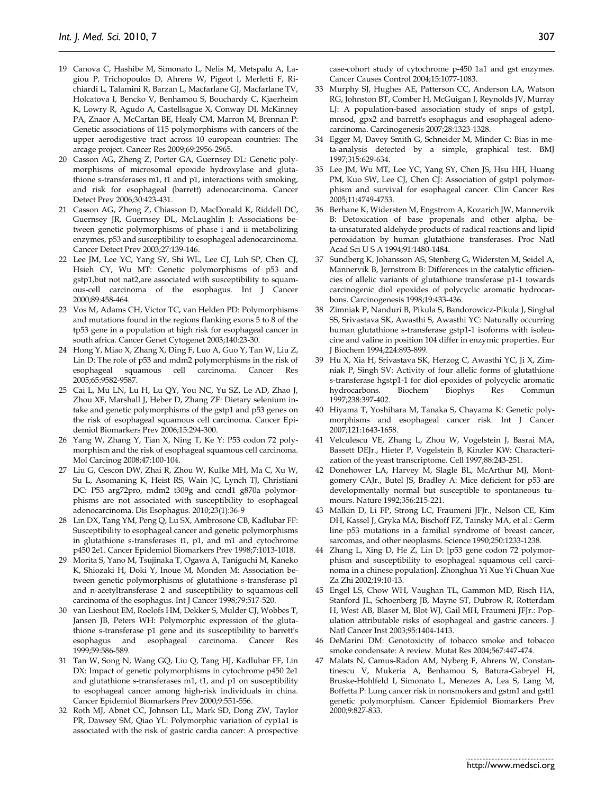- 19 Canova C, Hashibe M, Simonato L, Nelis M, Metspalu A, Lagiou P, Trichopoulos D, Ahrens W, Pigeot I, Merletti F, Richiardi L, Talamini R, Barzan L, Macfarlane GJ, Macfarlane TV, Holcatova I, Bencko V, Benhamou S, Bouchardy C, Kjaerheim K, Lowry R, Agudo A, Castellsague X, Conway DI, McKinney PA, Znaor A, McCartan BE, Healy CM, Marron M, Brennan P: Genetic associations of 115 polymorphisms with cancers of the upper aerodigestive tract across 10 european countries: The arcage project. Cancer Res 2009;69:2956-2965.
- 20 Casson AG, Zheng Z, Porter GA, Guernsey DL: Genetic polymorphisms of microsomal epoxide hydroxylase and glutathione s-transferases m1, t1 and p1, interactions with smoking, and risk for esophageal (barrett) adenocarcinoma. Cancer Detect Prev 2006;30:423-431.
- 21 Casson AG, Zheng Z, Chiasson D, MacDonald K, Riddell DC, Guernsey JR, Guernsey DL, McLaughlin J: Associations between genetic polymorphisms of phase i and ii metabolizing enzymes, p53 and susceptibility to esophageal adenocarcinoma. Cancer Detect Prev 2003;27:139-146.
- 22 Lee JM, Lee YC, Yang SY, Shi WL, Lee CJ, Luh SP, Chen CJ, Hsieh CY, Wu MT: Genetic polymorphisms of p53 and gstp1,but not nat2,are associated with susceptibility to squamous-cell carcinoma of the esophagus. Int J Cancer 2000;89:458-464.
- 23 Vos M, Adams CH, Victor TC, van Helden PD: Polymorphisms and mutations found in the regions flanking exons 5 to 8 of the tp53 gene in a population at high risk for esophageal cancer in south africa. Cancer Genet Cytogenet 2003;140:23-30.
- 24 Hong Y, Miao X, Zhang X, Ding F, Luo A, Guo Y, Tan W, Liu Z, Lin D: The role of p53 and mdm2 polymorphisms in the risk of esophageal squamous cell carcinoma. Cancer 2005;65:9582-9587.
- 25 Cai L, Mu LN, Lu H, Lu QY, You NC, Yu SZ, Le AD, Zhao J, Zhou XF, Marshall J, Heber D, Zhang ZF: Dietary selenium intake and genetic polymorphisms of the gstp1 and p53 genes on the risk of esophageal squamous cell carcinoma. Cancer Epidemiol Biomarkers Prev 2006;15:294-300.
- 26 Yang W, Zhang Y, Tian X, Ning T, Ke Y: P53 codon 72 polymorphism and the risk of esophageal squamous cell carcinoma. Mol Carcinog 2008;47:100-104.
- 27 Liu G, Cescon DW, Zhai R, Zhou W, Kulke MH, Ma C, Xu W, Su L, Asomaning K, Heist RS, Wain JC, Lynch TJ, Christiani DC: P53 arg72pro, mdm2 t309g and ccnd1 g870a polymorphisms are not associated with susceptibility to esophageal adenocarcinoma. Dis Esophagus. 2010;23(1):36-9
- 28 Lin DX, Tang YM, Peng Q, Lu SX, Ambrosone CB, Kadlubar FF: Susceptibility to esophageal cancer and genetic polymorphisms in glutathione s-transferases t1, p1, and m1 and cytochrome p450 2e1. Cancer Epidemiol Biomarkers Prev 1998;7:1013-1018.
- 29 Morita S, Yano M, Tsujinaka T, Ogawa A, Taniguchi M, Kaneko K, Shiozaki H, Doki Y, Inoue M, Monden M: Association between genetic polymorphisms of glutathione s-transferase p1 and n-acetyltransferase 2 and susceptibility to squamous-cell carcinoma of the esophagus. Int J Cancer 1998;79:517-520.
- 30 van Lieshout EM, Roelofs HM, Dekker S, Mulder CJ, Wobbes T, Jansen JB, Peters WH: Polymorphic expression of the glutathione s-transferase p1 gene and its susceptibility to barrett's esophagus and esophageal carcinoma. Cancer Res 1999;59:586-589.
- 31 Tan W, Song N, Wang GQ, Liu Q, Tang HJ, Kadlubar FF, Lin DX: Impact of genetic polymorphisms in cytochrome p450 2e1 and glutathione s-transferases m1, t1, and p1 on susceptibility to esophageal cancer among high-risk individuals in china. Cancer Epidemiol Biomarkers Prev 2000;9:551-556.
- 32 Roth MJ, Abnet CC, Johnson LL, Mark SD, Dong ZW, Taylor PR, Dawsey SM, Qiao YL: Polymorphic variation of cyp1a1 is associated with the risk of gastric cardia cancer: A prospective

case-cohort study of cytochrome p-450 1a1 and gst enzymes. Cancer Causes Control 2004;15:1077-1083.

- 33 Murphy SJ, Hughes AE, Patterson CC, Anderson LA, Watson RG, Johnston BT, Comber H, McGuigan J, Reynolds JV, Murray LJ: A population-based association study of snps of gstp1, mnsod, gpx2 and barrett's esophagus and esophageal adenocarcinoma. Carcinogenesis 2007;28:1323-1328.
- 34 Egger M, Davey Smith G, Schneider M, Minder C: Bias in meta-analysis detected by a simple, graphical test. BMJ 1997;315:629-634.
- 35 Lee JM, Wu MT, Lee YC, Yang SY, Chen JS, Hsu HH, Huang PM, Kuo SW, Lee CJ, Chen CJ: Association of gstp1 polymorphism and survival for esophageal cancer. Clin Cancer Res 2005;11:4749-4753.
- 36 Berhane K, Widersten M, Engstrom A, Kozarich JW, Mannervik B: Detoxication of base propenals and other alpha, beta-unsaturated aldehyde products of radical reactions and lipid peroxidation by human glutathione transferases. Proc Natl Acad Sci U S A 1994;91:1480-1484.
- 37 Sundberg K, Johansson AS, Stenberg G, Widersten M, Seidel A, Mannervik B, Jernstrom B: Differences in the catalytic efficiencies of allelic variants of glutathione transferase p1-1 towards carcinogenic diol epoxides of polycyclic aromatic hydrocarbons. Carcinogenesis 1998;19:433-436.
- 38 Zimniak P, Nanduri B, Pikula S, Bandorowicz-Pikula J, Singhal SS, Srivastava SK, Awasthi S, Awasthi YC: Naturally occurring human glutathione s-transferase gstp1-1 isoforms with isoleucine and valine in position 104 differ in enzymic properties. Eur J Biochem 1994;224:893-899.
- 39 Hu X, Xia H, Srivastava SK, Herzog C, Awasthi YC, Ji X, Zimniak P, Singh SV: Activity of four allelic forms of glutathione s-transferase hgstp1-1 for diol epoxides of polycyclic aromatic hydrocarbons. Biochem Biophys Res Commun 1997;238:397-402.
- 40 Hiyama T, Yoshihara M, Tanaka S, Chayama K: Genetic polymorphisms and esophageal cancer risk. Int J Cancer 2007;121:1643-1658.
- 41 Velculescu VE, Zhang L, Zhou W, Vogelstein J, Basrai MA, Bassett DEJr., Hieter P, Vogelstein B, Kinzler KW: Characterization of the yeast transcriptome. Cell 1997;88:243-251.
- 42 Donehower LA, Harvey M, Slagle BL, McArthur MJ, Montgomery CAJr., Butel JS, Bradley A: Mice deficient for p53 are developmentally normal but susceptible to spontaneous tumours. Nature 1992;356:215-221.
- 43 Malkin D, Li FP, Strong LC, Fraumeni JFJr., Nelson CE, Kim DH, Kassel J, Gryka MA, Bischoff FZ, Tainsky MA, et al.: Germ line p53 mutations in a familial syndrome of breast cancer, sarcomas, and other neoplasms. Science 1990;250:1233-1238.
- 44 Zhang L, Xing D, He Z, Lin D: [p53 gene codon 72 polymorphism and susceptibility to esophageal squamous cell carcinoma in a chinese population]. Zhonghua Yi Xue Yi Chuan Xue Za Zhi 2002;19:10-13.
- 45 Engel LS, Chow WH, Vaughan TL, Gammon MD, Risch HA, Stanford JL, Schoenberg JB, Mayne ST, Dubrow R, Rotterdam H, West AB, Blaser M, Blot WJ, Gail MH, Fraumeni JFJr.: Population attributable risks of esophageal and gastric cancers. J Natl Cancer Inst 2003;95:1404-1413.
- 46 DeMarini DM: Genotoxicity of tobacco smoke and tobacco smoke condensate: A review. Mutat Res 2004;567:447-474.
- 47 Malats N, Camus-Radon AM, Nyberg F, Ahrens W, Constantinescu V, Mukeria A, Benhamou S, Batura-Gabryel H, Bruske-Hohlfeld I, Simonato L, Menezes A, Lea S, Lang M, Boffetta P: Lung cancer risk in nonsmokers and gstm1 and gstt1 genetic polymorphism. Cancer Epidemiol Biomarkers Prev 2000;9:827-833.